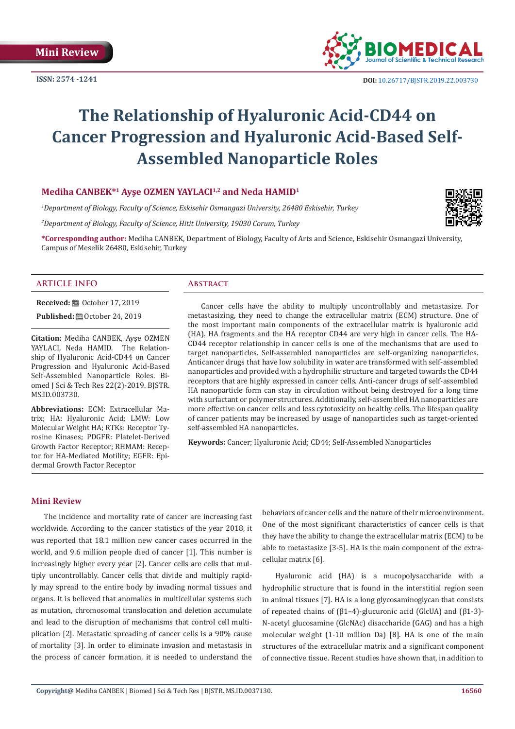**ISSN: 2574 -1241**



 **DOI:** [10.26717/BJSTR.2019.22.0037](http://dx.doi.org/10.26717/BJSTR.2019.22.003730)30

# **The Relationship of Hyaluronic Acid-CD44 on Cancer Progression and Hyaluronic Acid-Based Self-Assembled Nanoparticle Roles**

# **Mediha CANBEK\*1 Ayşe OZMEN YAYLACI1,2 and Neda HAMID1**

*1 Department of Biology, Faculty of Science, Eskisehir Osmangazi University, 26480 Eskisehir, Turkey*

*2 Department of Biology, Faculty of Science, Hitit University, 19030 Corum, Turkey*

**\*Corresponding author:** Mediha CANBEK, Department of Biology, Faculty of Arts and Science, Eskisehir Osmangazi University, Campus of Meselik 26480, Eskisehir, Turkey

#### **ARTICLE INFO Abstract**

**Received:** ■ October 17, 2019

**Published:** © October 24, 2019

**Citation:** Mediha CANBEK, Ayşe OZMEN YAYLACI, Neda HAMID. The Relationship of Hyaluronic Acid-CD44 on Cancer Progression and Hyaluronic Acid-Based Self-Assembled Nanoparticle Roles. Biomed J Sci & Tech Res 22(2)-2019. BJSTR. MS.ID.003730.

**Abbreviations:** ECM: Extracellular Matrix; HA: Hyaluronic Acid; LMW: Low Molecular Weight HA; RTKs: Receptor Tyrosine Kinases; PDGFR: Platelet-Derived Growth Factor Receptor; RHMAM: Receptor for HA-Mediated Motility; EGFR: Epidermal Growth Factor Receptor

Cancer cells have the ability to multiply uncontrollably and metastasize. For metastasizing, they need to change the extracellular matrix (ECM) structure. One of the most important main components of the extracellular matrix is hyaluronic acid (HA). HA fragments and the HA receptor CD44 are very high in cancer cells. The HA-CD44 receptor relationship in cancer cells is one of the mechanisms that are used to target nanoparticles. Self-assembled nanoparticles are self-organizing nanoparticles. Anticancer drugs that have low solubility in water are transformed with self-assembled nanoparticles and provided with a hydrophilic structure and targeted towards the CD44 receptors that are highly expressed in cancer cells. Anti-cancer drugs of self-assembled HA nanoparticle form can stay in circulation without being destroyed for a long time with surfactant or polymer structures. Additionally, self-assembled HA nanoparticles are more effective on cancer cells and less cytotoxicity on healthy cells. The lifespan quality of cancer patients may be increased by usage of nanoparticles such as target-oriented self-assembled HA nanoparticles.

**Keywords:** Cancer; Hyaluronic Acid; CD44; Self-Assembled Nanoparticles

### **Mini Review**

The incidence and mortality rate of cancer are increasing fast worldwide. According to the cancer statistics of the year 2018, it was reported that 18.1 million new cancer cases occurred in the world, and 9.6 million people died of cancer [1]. This number is increasingly higher every year [2]. Cancer cells are cells that multiply uncontrollably. Cancer cells that divide and multiply rapidly may spread to the entire body by invading normal tissues and organs. It is believed that anomalies in multicellular systems such as mutation, chromosomal translocation and deletion accumulate and lead to the disruption of mechanisms that control cell multiplication [2]. Metastatic spreading of cancer cells is a 90% cause of mortality [3]. In order to eliminate invasion and metastasis in the process of cancer formation, it is needed to understand the

behaviors of cancer cells and the nature of their microenvironment. One of the most significant characteristics of cancer cells is that they have the ability to change the extracellular matrix (ECM) to be able to metastasize [3-5]. HA is the main component of the extracellular matrix [6].

Hyaluronic acid (HA) is a mucopolysaccharide with a hydrophilic structure that is found in the interstitial region seen in animal tissues [7]. HA is a long glycosaminoglycan that consists of repeated chains of (β1–4)-glucuronic acid (GlcUA) and (β1-3)- N-acetyl glucosamine (GlcNAc) disaccharide (GAG) and has a high molecular weight (1-10 million Da) [8]. HA is one of the main structures of the extracellular matrix and a significant component of connective tissue. Recent studies have shown that, in addition to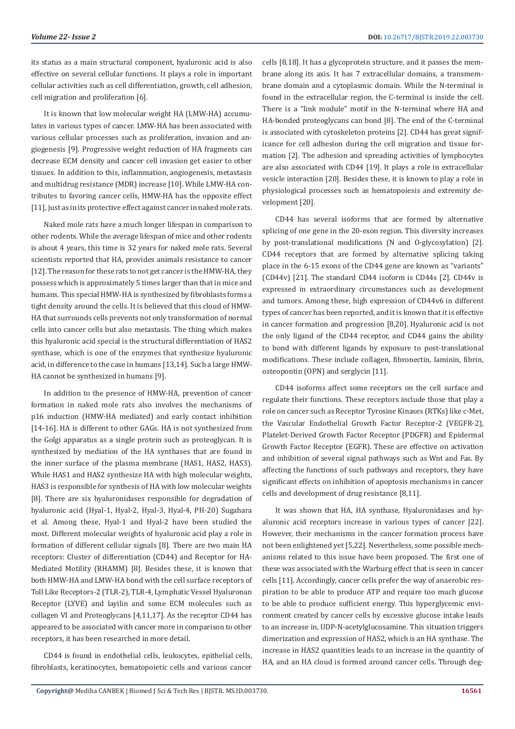its status as a main structural component, hyaluronic acid is also effective on several cellular functions. It plays a role in important cellular activities such as cell differentiation, growth, cell adhesion, cell migration and proliferation [6].

It is known that low molecular weight HA (LMW-HA) accumulates in various types of cancer. LMW-HA has been associated with various cellular processes such as proliferation, invasion and angiogenesis [9]. Progressive weight reduction of HA fragments can decrease ECM density and cancer cell invasion get easier to other tissues. In addition to this, inflammation, angiogenesis, metastasis and multidrug resistance (MDR) increase [10]. While LMW-HA contributes to favoring cancer cells, HMW-HA has the opposite effect [11], just as in its protective effect against cancer in naked mole rats.

Naked mole rats have a much longer lifespan in comparison to other rodents. While the average lifespan of mice and other rodents is about 4 years, this time is 32 years for naked mole rats. Several scientists reported that HA, provides animals resistance to cancer [12]. The reason for these rats to not get cancer is the HMW-HA, they possess which is approximately 5 times larger than that in mice and humans. This special HMW-HA is synthesized by fibroblasts forms a tight density around the cells. It is believed that this cloud of HMW-HA that surrounds cells prevents not only transformation of normal cells into cancer cells but also metastasis. The thing which makes this hyaluronic acid special is the structural differentiation of HAS2 synthase, which is one of the enzymes that synthesize hyaluronic acid, in difference to the case in humans [13,14]. Such a large HMW-HA cannot be synthesized in humans [9].

In addition to the presence of HMW-HA, prevention of cancer formation in naked mole rats also involves the mechanisms of p16 induction (HMW-HA mediated) and early contact inhibition [14-16]. HA is different to other GAGs. HA is not synthesized from the Golgi apparatus as a single protein such as proteoglycan. It is synthesized by mediation of the HA synthases that are found in the inner surface of the plasma membrane (HAS1, HAS2, HAS3). While HAS1 and HAS2 synthesize HA with high molecular weights, HAS3 is responsible for synthesis of HA with low molecular weights [8]. There are six hyaluronidases responsible for degradation of hyaluronic acid (Hyal-1, Hyal-2, Hyal-3, Hyal-4, PH-20) Sugahara et al. Among these, Hyal-1 and Hyal-2 have been studied the most. Different molecular weights of hyaluronic acid play a role in formation of different cellular signals [8]. There are two main HA receptors: Cluster of differentiation (CD44) and Receptor for HA-Mediated Motility (RHAMM) [8]. Besides these, it is known that both HMW-HA and LMW-HA bond with the cell surface receptors of Toll Like Receptors-2 (TLR-2), TLR-4, Lymphatic Vessel Hyaluronan Receptor (LYVE) and layilin and some ECM molecules such as collagen VI and Proteoglycans [4,11,17]. As the receptor CD44 has appeared to be associated with cancer more in comparison to other receptors, it has been researched in more detail.

CD44 is found in endothelial cells, leukocytes, epithelial cells, fibroblasts, keratinocytes, hematopoietic cells and various cancer cells [8,18]. It has a glycoprotein structure, and it passes the membrane along its axis. It has 7 extracellular domains, a transmembrane domain and a cytoplasmic domain. While the N-terminal is found in the extracellular region, the C-terminal is inside the cell. There is a "link module" motif in the N-terminal where HA and HA-bonded proteoglycans can bond [8]. The end of the C-terminal is associated with cytoskeleton proteins [2]. CD44 has great significance for cell adhesion during the cell migration and tissue formation [2]. The adhesion and spreading activities of lymphocytes are also associated with CD44 [19]. It plays a role in extracellular vesicle interaction [20]. Besides these, it is known to play a role in physiological processes such as hematopoiesis and extremity development [20].

CD44 has several isoforms that are formed by alternative splicing of one gene in the 20-exon region. This diversity increases by post-translational modifications (N and O-glycosylation) [2]. CD44 receptors that are formed by alternative splicing taking place in the 6-15 exons of the CD44 gene are known as "variants" (CD44v) [21]. The standard CD44 isoform is CD44s [2]. CD44v is expressed in extraordinary circumstances such as development and tumors. Among these, high expression of CD44v6 in different types of cancer has been reported, and it is known that it is effective in cancer formation and progression [8,20]. Hyaluronic acid is not the only ligand of the CD44 receptor, and CD44 gains the ability to bond with different ligands by exposure to post-translational modifications. These include collagen, fibronectin, laminin, fibrin, osteopontin (OPN) and serglycin [11].

CD44 isoforms affect some receptors on the cell surface and regulate their functions. These receptors include those that play a role on cancer such as Receptor Tyrosine Kinases (RTKs) like c-Met, the Vascular Endothelial Growth Factor Receptor-2 (VEGFR-2), Platelet-Derived Growth Factor Receptor (PDGFR) and Epidermal Growth Factor Receptor (EGFR). These are effective on activation and inhibition of several signal pathways such as Wnt and Fas. By affecting the functions of such pathways and receptors, they have significant effects on inhibition of apoptosis mechanisms in cancer cells and development of drug resistance [8,11].

It was shown that HA, HA synthase, Hyaluronidases and hyaluronic acid receptors increase in various types of cancer [22]. However, their mechanisms in the cancer formation process have not been enlightened yet [5,22]. Nevertheless, some possible mechanisms related to this issue have been proposed. The first one of these was associated with the Warburg effect that is seen in cancer cells [11]. Accordingly, cancer cells prefer the way of anaerobic respiration to be able to produce ATP and require too much glucose to be able to produce sufficient energy. This hyperglycemic environment created by cancer cells by excessive glucose intake leads to an increase in, UDP-N-acetylglucosamine. This situation triggers dimerization and expression of HAS2, which is an HA synthase. The increase in HAS2 quantities leads to an increase in the quantity of HA, and an HA cloud is formed around cancer cells. Through deg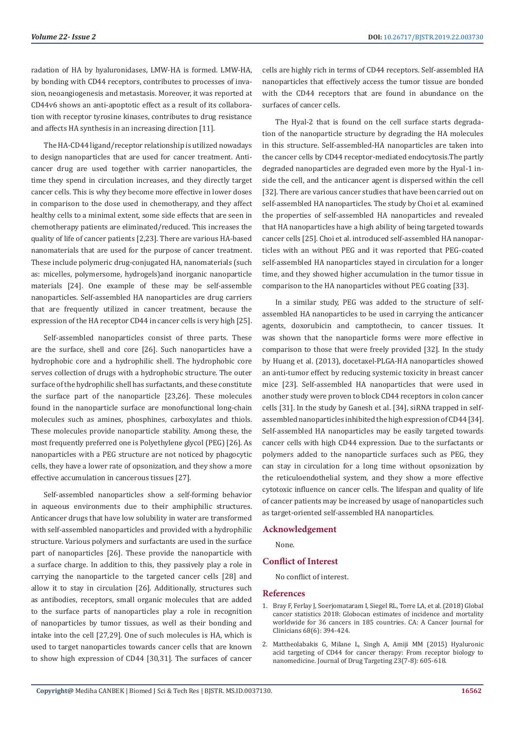radation of HA by hyaluronidases, LMW-HA is formed. LMW-HA, by bonding with CD44 receptors, contributes to processes of invasion, neoangiogenesis and metastasis. Moreover, it was reported at CD44v6 shows an anti-apoptotic effect as a result of its collaboration with receptor tyrosine kinases, contributes to drug resistance and affects HA synthesis in an increasing direction [11].

The HA-CD44 ligand/receptor relationship is utilized nowadays to design nanoparticles that are used for cancer treatment. Anticancer drug are used together with carrier nanoparticles, the time they spend in circulation increases, and they directly target cancer cells. This is why they become more effective in lower doses in comparison to the dose used in chemotherapy, and they affect healthy cells to a minimal extent, some side effects that are seen in chemotherapy patients are eliminated/reduced. This increases the quality of life of cancer patients [2,23]. There are various HA-based nanomaterials that are used for the purpose of cancer treatment. These include polymeric drug-conjugated HA, nanomaterials (such as: micelles, polymersome, hydrogels)and inorganic nanoparticle materials [24]. One example of these may be self-assemble nanoparticles. Self-assembled HA nanoparticles are drug carriers that are frequently utilized in cancer treatment, because the expression of the HA receptor CD44 in cancer cells is very high [25].

Self-assembled nanoparticles consist of three parts. These are the surface, shell and core [26]. Such nanoparticles have a hydrophobic core and a hydrophilic shell. The hydrophobic core serves collection of drugs with a hydrophobic structure. The outer surface of the hydrophilic shell has surfactants, and these constitute the surface part of the nanoparticle [23,26]. These molecules found in the nanoparticle surface are monofunctional long-chain molecules such as amines, phosphines, carboxylates and thiols. These molecules provide nanoparticle stability. Among these, the most frequently preferred one is Polyethylene glycol (PEG) [26]. As nanoparticles with a PEG structure are not noticed by phagocytic cells, they have a lower rate of opsonization, and they show a more effective accumulation in cancerous tissues [27].

Self-assembled nanoparticles show a self-forming behavior in aqueous environments due to their amphiphilic structures. Anticancer drugs that have low solubility in water are transformed with self-assembled nanoparticles and provided with a hydrophilic structure. Various polymers and surfactants are used in the surface part of nanoparticles [26]. These provide the nanoparticle with a surface charge. In addition to this, they passively play a role in carrying the nanoparticle to the targeted cancer cells [28] and allow it to stay in circulation [26]. Additionally, structures such as antibodies, receptors, small organic molecules that are added to the surface parts of nanoparticles play a role in recognition of nanoparticles by tumor tissues, as well as their bonding and intake into the cell [27,29]. One of such molecules is HA, which is used to target nanoparticles towards cancer cells that are known to show high expression of CD44 [30,31]. The surfaces of cancer

cells are highly rich in terms of CD44 receptors. Self-assembled HA nanoparticles that effectively access the tumor tissue are bonded with the CD44 receptors that are found in abundance on the surfaces of cancer cells.

The Hyal-2 that is found on the cell surface starts degradation of the nanoparticle structure by degrading the HA molecules in this structure. Self-assembled-HA nanoparticles are taken into the cancer cells by CD44 receptor-mediated endocytosis.The partly degraded nanoparticles are degraded even more by the Hyal-1 inside the cell, and the anticancer agent is dispersed within the cell [32]. There are various cancer studies that have been carried out on self-assembled HA nanoparticles. The study by Choi et al. examined the properties of self-assembled HA nanoparticles and revealed that HA nanoparticles have a high ability of being targeted towards cancer cells [25]. Choi et al. introduced self-assembled HA nanoparticles with an without PEG and it was reported that PEG-coated self-assembled HA nanoparticles stayed in circulation for a longer time, and they showed higher accumulation in the tumor tissue in comparison to the HA nanoparticles without PEG coating [33].

In a similar study, PEG was added to the structure of selfassembled HA nanoparticles to be used in carrying the anticancer agents, doxorubicin and camptothecin, to cancer tissues. It was shown that the nanoparticle forms were more effective in comparison to those that were freely provided [32]. In the study by Huang et al. (2013), docetaxel-PLGA-HA nanoparticles showed an anti-tumor effect by reducing systemic toxicity in breast cancer mice [23]. Self-assembled HA nanoparticles that were used in another study were proven to block CD44 receptors in colon cancer cells [31]. In the study by Ganesh et al. [34], siRNA trapped in selfassembled nanoparticles inhibited the high expression of CD44 [34]. Self-assembled HA nanoparticles may be easily targeted towards cancer cells with high CD44 expression. Due to the surfactants or polymers added to the nanoparticle surfaces such as PEG, they can stay in circulation for a long time without opsonization by the reticuloendothelial system, and they show a more effective cytotoxic influence on cancer cells. The lifespan and quality of life of cancer patients may be increased by usage of nanoparticles such as target-oriented self-assembled HA nanoparticles.

#### **Acknowledgement**

None.

#### **Conflict of Interest**

No conflict of interest.

# **References**

- 1. [Bray F, Ferlay J, Soerjomataram I, Siegel RL, Torre LA, et al. \(2018\) Global](https://www.ncbi.nlm.nih.gov/pubmed/30207593) [cancer statistics 2018: Globocan estimates of incidence and mortality](https://www.ncbi.nlm.nih.gov/pubmed/30207593) [worldwide for 36 cancers in 185 countries. CA: A Cancer Journal for](https://www.ncbi.nlm.nih.gov/pubmed/30207593) [Clinicians 68\(6\): 394-424.](https://www.ncbi.nlm.nih.gov/pubmed/30207593)
- 2. [Mattheolabakis G, Milane L, Singh A, Amiji MM \(2015\) Hyaluronic](https://www.ncbi.nlm.nih.gov/pubmed/26453158) [acid targeting of CD44 for cancer therapy: From receptor biology to](https://www.ncbi.nlm.nih.gov/pubmed/26453158) [nanomedicine. Journal of Drug Targeting 23\(7-8\): 605-618.](https://www.ncbi.nlm.nih.gov/pubmed/26453158)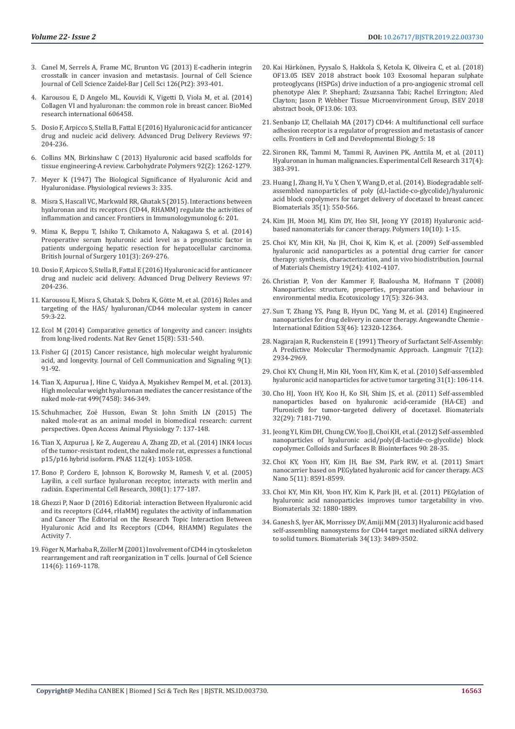- 3. [Canel M, Serrels A, Frame MC, Brunton VG \(2013\) E-cadherin integrin](https://www.ncbi.nlm.nih.gov/pubmed/23525005)  [crosstalk in cancer invasion and metastasis. Journal of Cell Science](https://www.ncbi.nlm.nih.gov/pubmed/23525005)  [Journal of Cell Science Zaidel-Bar J Cell Sci 126\(Pt2\): 393-401.](https://www.ncbi.nlm.nih.gov/pubmed/23525005)
- 4. [Karousou E, D Angelo ML, Kouvidi K, Vigetti D, Viola M, et al. \(2014\)](https://www.ncbi.nlm.nih.gov/pubmed/25126569)  [Collagen VI and hyaluronan: the common role in breast cancer. BioMed](https://www.ncbi.nlm.nih.gov/pubmed/25126569)  [research international 606458.](https://www.ncbi.nlm.nih.gov/pubmed/25126569)
- 5. [Dosio F, Arpicco S, Stella B, Fattal E \(2016\) Hyaluronic acid for anticancer](https://www.ncbi.nlm.nih.gov/pubmed/26592477)  [drug and nucleic acid delivery. Advanced Drug Delivery Reviews 97:](https://www.ncbi.nlm.nih.gov/pubmed/26592477)  [204-236.](https://www.ncbi.nlm.nih.gov/pubmed/26592477)
- 6. [Collins MN, Birkinshaw C \(2013\) Hyaluronic acid based scaffolds for](https://www.ncbi.nlm.nih.gov/pubmed/23399155)  [tissue engineering-A review. Carbohydrate Polymers 92\(2\): 1262-1279.](https://www.ncbi.nlm.nih.gov/pubmed/23399155)
- 7. [Meyer K \(1947\) The Biological Significance of Hyaluronic Acid and](https://pdfs.semanticscholar.org/9268/3cc9f3f780809414286824bac43e834257cc.pdf)  [Hyaluronidase. Physiological reviews 3: 335.](https://pdfs.semanticscholar.org/9268/3cc9f3f780809414286824bac43e834257cc.pdf)
- Misra S, Hascall VC, Markwald RR, Ghatak S (2015). Interactions between [hyaluronan and its receptors \(CD44, RHAMM\) regulate the activities of](https://www.ncbi.nlm.nih.gov/pubmed/25999946)  [inflammation and cancer. Frontiers in Immunologymunolog 6: 201.](https://www.ncbi.nlm.nih.gov/pubmed/25999946)
- 9. [Mima K, Beppu T, Ishiko T, Chikamoto A, Nakagawa S, et al. \(2014\)](https://www.ncbi.nlm.nih.gov/pubmed/24446084)  [Preoperative serum hyaluronic acid level as a prognostic factor in](https://www.ncbi.nlm.nih.gov/pubmed/24446084)  [patients undergoing hepatic resection for hepatocellular carcinoma.](https://www.ncbi.nlm.nih.gov/pubmed/24446084)  [British Journal of Surgery 101\(3\): 269-276.](https://www.ncbi.nlm.nih.gov/pubmed/24446084)
- 10. [Dosio F, Arpicco S, Stella B, Fattal E \(2016\) Hyaluronic acid for anticancer](https://www.ncbi.nlm.nih.gov/pubmed/26592477)  [drug and nucleic acid delivery. Advanced Drug Delivery Reviews 97:](https://www.ncbi.nlm.nih.gov/pubmed/26592477)  [204-236.](https://www.ncbi.nlm.nih.gov/pubmed/26592477)
- 11. [Karousou E, Misra S, Ghatak S, Dobra K, Gö](https://www.ncbi.nlm.nih.gov/pubmed/27746219)tte M, et al. (2016) Roles and [targeting of the HAS/ hyaluronan/CD44 molecular system in cancer](https://www.ncbi.nlm.nih.gov/pubmed/27746219)  [59:3-22.](https://www.ncbi.nlm.nih.gov/pubmed/27746219)
- 12. [Ecol M \(2014\) Comparative genetics of longevity and cancer: insights](https://www.ncbi.nlm.nih.gov/pmc/articles/PMC4353926/)  [from long-lived rodents. Nat Rev Genet 15\(8\): 531-540.](https://www.ncbi.nlm.nih.gov/pmc/articles/PMC4353926/)
- 13. [Fisher GJ \(2015\) Cancer resistance, high molecular weight hyaluronic](https://www.ncbi.nlm.nih.gov/pubmed/25740467)  [acid, and longevity. Journal of Cell Communication and Signaling 9\(1\):](https://www.ncbi.nlm.nih.gov/pubmed/25740467)  [91-92.](https://www.ncbi.nlm.nih.gov/pubmed/25740467)
- 14. [Tian X, Azpurua J, Hine C, Vaidya A, Myakishev Rempel M, et al. \(2013\).](https://www.ncbi.nlm.nih.gov/pubmed/23783513)  [High molecular weight hyaluronan mediates the cancer resistance of the](https://www.ncbi.nlm.nih.gov/pubmed/23783513)  [naked mole-rat 499\(7458\): 346-349.](https://www.ncbi.nlm.nih.gov/pubmed/23783513)
- 15. [Schuhmacher, Zoé Husson, Ewan St John Smith LN \(2015\) The](https://www.dovepress.com/the-naked-mole-rat-as-an-animal-model-in-biomedical-research-current-p-peer-reviewed-article-OAAP)  [naked mole-rat as an animal model in biomedical research: current](https://www.dovepress.com/the-naked-mole-rat-as-an-animal-model-in-biomedical-research-current-p-peer-reviewed-article-OAAP)  [perspectives. Open Access Animal Physiology 7: 137-148.](https://www.dovepress.com/the-naked-mole-rat-as-an-animal-model-in-biomedical-research-current-p-peer-reviewed-article-OAAP)
- 16. [Tian X, Azpurua J, Ke Z, Augereau A, Zhang ZD, et al. \(2014\) INK4 locus](https://www.ncbi.nlm.nih.gov/pmc/articles/PMC4313802/)  [of the tumor-resistant rodent, the naked mole rat, expresses a functional](https://www.ncbi.nlm.nih.gov/pmc/articles/PMC4313802/)  [p15/p16 hybrid isoform. PNAS 112\(4\): 1053-1058.](https://www.ncbi.nlm.nih.gov/pmc/articles/PMC4313802/)
- 17. [Bono P, Cordero E, Johnson K, Borowsky M, Ramesh V, et al. \(2005\)](https://researchportal.helsinki.fi/en/publications/layilin-a-cell-surface-hyaluronan-receptor-interacts-with-merlin-)  [Layilin, a cell surface hyaluronan receptor, interacts with merlin and](https://researchportal.helsinki.fi/en/publications/layilin-a-cell-surface-hyaluronan-receptor-interacts-with-merlin-)  [radixin. Experimental Cell Research, 308\(1\): 177-187.](https://researchportal.helsinki.fi/en/publications/layilin-a-cell-surface-hyaluronan-receptor-interacts-with-merlin-)
- 18. [Ghezzi P, Naor D \(2016\) Editorial: interaction Between Hyaluronic acid](https://www.ncbi.nlm.nih.gov/pmc/articles/PMC4745048/)  [and its receptors \(Cd44, rHaMM\) regulates the activity of inflammation](https://www.ncbi.nlm.nih.gov/pmc/articles/PMC4745048/)  [and Cancer The Editorial on the Research Topic Interaction Between](https://www.ncbi.nlm.nih.gov/pmc/articles/PMC4745048/)  [Hyaluronic Acid and Its Receptors \(CD44, RHAMM\) Regulates the](https://www.ncbi.nlm.nih.gov/pmc/articles/PMC4745048/)  [Activity 7.](https://www.ncbi.nlm.nih.gov/pmc/articles/PMC4745048/)
- 19. [Föger N, Marhaba R, Zöller M \(2001\) Involvement of CD44 in cytoskeleton](https://www.ncbi.nlm.nih.gov/pubmed/11228160)  [rearrangement and raft reorganization in T cells. Journal of Cell Science](https://www.ncbi.nlm.nih.gov/pubmed/11228160)  [114\(6\): 1169-1178.](https://www.ncbi.nlm.nih.gov/pubmed/11228160)
- 20. Kai Härkönen, Pyysalo S, Hakkola S, Ketola K, Oliveira C, et al. (2018) OF13.05 ISEV 2018 abstract book 103 Exosomal heparan sulphate proteoglycans (HSPGs) drive induction of a pro-angiogenic stromal cell phenotype Alex P. Shephard; Zsuzsanna Tabi; Rachel Errington; Aled Clayton; Jason P. Webber Tissue Microenvironment Group, ISEV 2018 abstract book, OF13.06: 103.
- 21. [Senbanjo LT, Chellaiah MA \(2017\) CD44: A multifunctional cell surface](https://www.ncbi.nlm.nih.gov/pubmed/28326306) [adhesion receptor is a regulator of progression and metastasis of cancer](https://www.ncbi.nlm.nih.gov/pubmed/28326306) [cells. Frontiers in Cell and Developmental Biology 5: 18](https://www.ncbi.nlm.nih.gov/pubmed/28326306)
- 22. [Sironen RK, Tammi M, Tammi R, Auvinen PK, Anttila M, et al. \(2011\)](https://www.ncbi.nlm.nih.gov/pubmed/21134368) [Hyaluronan in human malignancies. Experimental Cell Research 317\(4\):](https://www.ncbi.nlm.nih.gov/pubmed/21134368) [383-391.](https://www.ncbi.nlm.nih.gov/pubmed/21134368)
- 23. [Huang J, Zhang H, Yu Y, Chen Y, Wang D, et al. \(2014\). Biodegradable self](https://www.ncbi.nlm.nih.gov/pubmed/24135268)[assembled nanoparticles of poly \(d,l-lactide-co-glycolide\)/hyaluronic](https://www.ncbi.nlm.nih.gov/pubmed/24135268) [acid block copolymers for target delivery of docetaxel to breast cancer.](https://www.ncbi.nlm.nih.gov/pubmed/24135268) [Biomaterials 35\(1\): 550-566.](https://www.ncbi.nlm.nih.gov/pubmed/24135268)
- 24. [Kim JH, Moon MJ, Kim DY, Heo SH, Jeong YY \(2018\) Hyaluronic acid](https://www.ncbi.nlm.nih.gov/pubmed/30961058)[based nanomaterials for cancer therapy. Polymers 10\(10\): 1-15.](https://www.ncbi.nlm.nih.gov/pubmed/30961058)
- 25. Choi KY, Min KH, Na JH, Choi K, Kim K, et al. (2009) Self-assembled hyaluronic acid nanoparticles as a potential drug carrier for cancer therapy: synthesis, characterization, and in vivo biodistribution. Journal of Materials Chemistry 19(24): 4102-4107.
- 26. Christian P, Von der Kammer F, Baalousha M, Hofmann T (2008) Nanoparticles: structure, properties, preparation and behaviour in environmental media. Ecotoxicology 17(5): 326-343.
- 27. [Sun T, Zhang YS, Pang B, Hyun DC, Yang M, et al. \(2014\) Engineered](https://www.ncbi.nlm.nih.gov/pubmed/25294565) [nanoparticles for drug delivery in cancer therapy. Angewandte Chemie -](https://www.ncbi.nlm.nih.gov/pubmed/25294565) [International Edition 53\(46\): 12320-12364.](https://www.ncbi.nlm.nih.gov/pubmed/25294565)
- 28. [Nagarajan R, Ruckenstein E \(1991\) Theory of Surfactant Self-Assembly:](https://pubs.acs.org/doi/10.1021/la00060a012) [A Predictive Molecular Thermodynamic Approach. Langmuir 7\(12\):](https://pubs.acs.org/doi/10.1021/la00060a012) [2934-2969.](https://pubs.acs.org/doi/10.1021/la00060a012)
- 29. [Choi KY, Chung H, Min KH, Yoon HY, Kim K, et al. \(2010\) Self-assembled](https://www.ncbi.nlm.nih.gov/pubmed/19783037) [hyaluronic acid nanoparticles for active tumor targeting 31\(1\): 106-114.](https://www.ncbi.nlm.nih.gov/pubmed/19783037)
- 30. [Cho HJ, Yoon HY, Koo H, Ko SH, Shim JS, et al. \(2011\) Self-assembled](https://www.ncbi.nlm.nih.gov/pubmed/21733572) [nanoparticles based on hyaluronic acid-ceramide \(HA-CE\) and](https://www.ncbi.nlm.nih.gov/pubmed/21733572) [Pluronic® for tumor-targeted delivery of docetaxel. Biomaterials](https://www.ncbi.nlm.nih.gov/pubmed/21733572) [32\(29\): 7181-7190.](https://www.ncbi.nlm.nih.gov/pubmed/21733572)
- 31. [Jeong YI, Kim DH, Chung CW, Yoo JJ, Choi KH, et al. \(2012\) Self-assembled](https://www.ncbi.nlm.nih.gov/pubmed/22001557) [nanoparticles of hyaluronic acid/poly\(dl-lactide-co-glycolide\) block](https://www.ncbi.nlm.nih.gov/pubmed/22001557) [copolymer. Colloids and Surfaces B: Biointerfaces 90: 28-35.](https://www.ncbi.nlm.nih.gov/pubmed/22001557)
- 32. [Choi KY, Yoon HY, Kim JH, Bae SM, Park RW, et al. \(2011\) Smart](https://www.ncbi.nlm.nih.gov/pubmed/21967065) [nanocarrier based on PEGylated hyaluronic acid for cancer therapy. ACS](https://www.ncbi.nlm.nih.gov/pubmed/21967065) [Nano 5\(11\): 8591-8599.](https://www.ncbi.nlm.nih.gov/pubmed/21967065)
- 33. [Choi KY, Min KH, Yoon HY, Kim K, Park JH, et al. \(2011\) PEGylation of](https://www.ncbi.nlm.nih.gov/pubmed/21159377) [hyaluronic acid nanoparticles improves tumor targetability in vivo.](https://www.ncbi.nlm.nih.gov/pubmed/21159377) [Biomaterials 32: 1880-1889.](https://www.ncbi.nlm.nih.gov/pubmed/21159377)
- 34. [Ganesh S, Iyer AK, Morrissey DV, Amiji MM \(2013\) Hyaluronic acid based](https://www.ncbi.nlm.nih.gov/pubmed/23410679) [self-assembling nanosystems for CD44 target mediated siRNA delivery](https://www.ncbi.nlm.nih.gov/pubmed/23410679) [to solid tumors. Biomaterials 34\(13\): 3489-3502.](https://www.ncbi.nlm.nih.gov/pubmed/23410679)